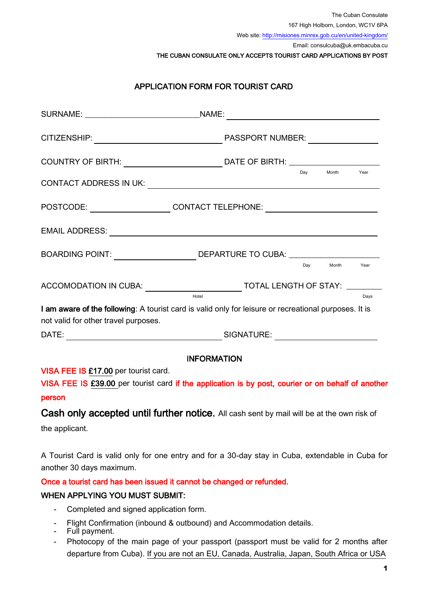The Cuban Consulate 167 High Holborn, London, WC1V 6PA

Web site[: http://misiones.minrex.gob.cu/en/united-kingdom/](http://misiones.minrex.gob.cu/en/united-kingdom/)

Email: consulcuba@uk.embacuba.cu

THE CUBAN CONSULATE ONLY ACCEPTS TOURIST CARD APPLICATIONS BY POST

# APPLICATION FORM FOR TOURIST CARD

| COUNTRY OF BIRTH: __________________________________DATE OF BIRTH: ______________                                                             |                                                                                                 |     |           |      |
|-----------------------------------------------------------------------------------------------------------------------------------------------|-------------------------------------------------------------------------------------------------|-----|-----------|------|
| CONTACT ADDRESS IN UK: \\equite \\efficial\\end{\\stat_{\right}}}}                                                                            |                                                                                                 | Dav | Month     | Year |
| POSTCODE: ______________________CONTACT TELEPHONE: _____________________________                                                              |                                                                                                 |     |           |      |
|                                                                                                                                               |                                                                                                 |     |           |      |
| BOARDING POINT: ______________________DEPARTURE TO CUBA: _______________________                                                              |                                                                                                 |     |           |      |
|                                                                                                                                               |                                                                                                 |     | Dav Month | Year |
|                                                                                                                                               | ACCOMODATION IN CUBA: ___________________________TOTAL LENGTH OF STAY: _______<br>Hotel<br>Days |     |           |      |
| I am aware of the following: A tourist card is valid only for leisure or recreational purposes. It is<br>not valid for other travel purposes. |                                                                                                 |     |           |      |
|                                                                                                                                               |                                                                                                 |     |           |      |
| <b>INFORMATION</b>                                                                                                                            |                                                                                                 |     |           |      |
| VISA FEE IS £17.00 per tourist card.                                                                                                          |                                                                                                 |     |           |      |
| VISA FEE IS £39.00 per tourist card if the application is by post, courier or on behalf of another                                            |                                                                                                 |     |           |      |
| person                                                                                                                                        |                                                                                                 |     |           |      |
|                                                                                                                                               |                                                                                                 |     |           |      |

Cash only accepted until further notice. All cash sent by mail will be at the own risk of the applicant.

A Tourist Card is valid only for one entry and for a 30-day stay in Cuba, extendable in Cuba for another 30 days maximum.

### Once a tourist card has been issued it cannot be changed or refunded.

### WHEN APPLYING YOU MUST SUBMIT:

- Completed and signed application form.
- Flight Confirmation (inbound & outbound) and Accommodation details.
- Full payment.
- Photocopy of the main page of your passport (passport must be valid for 2 months after departure from Cuba). If you are not an EU, Canada, Australia, Japan, South Africa or USA